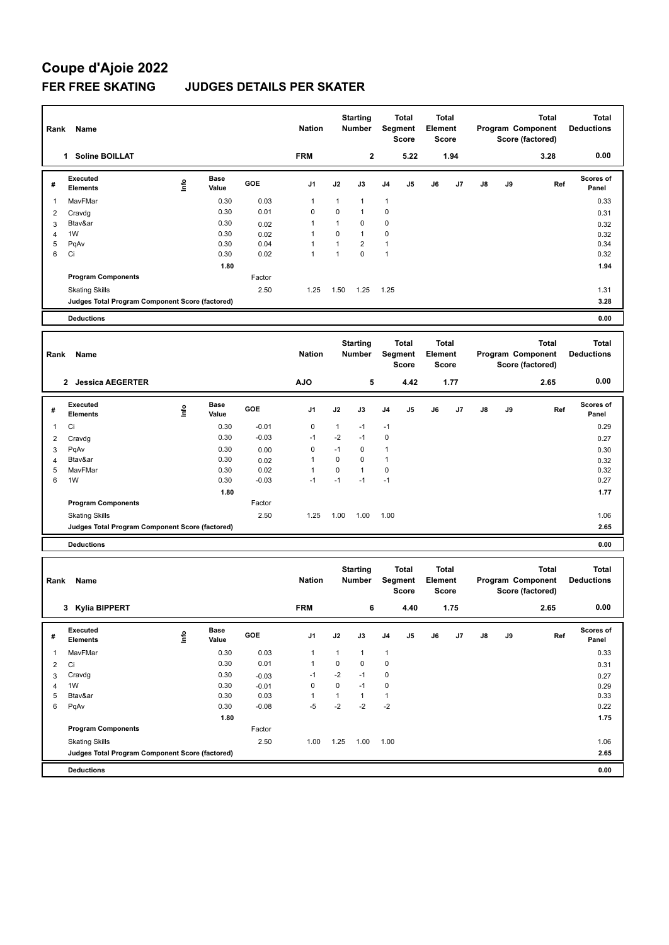## **Coupe d'Ajoie 2022 FER FREE SKATING JUDGES DETAILS PER SKATER**

| Rank   | Name                                            |      |                      |                 | <b>Nation</b>        |                   | <b>Starting</b><br>Number        |                     | <b>Total</b><br>Segment<br>Score | Element | Total<br>Score               |      |    | <b>Total</b><br>Program Component<br>Score (factored) | <b>Total</b><br><b>Deductions</b> |
|--------|-------------------------------------------------|------|----------------------|-----------------|----------------------|-------------------|----------------------------------|---------------------|----------------------------------|---------|------------------------------|------|----|-------------------------------------------------------|-----------------------------------|
|        | 1 Soline BOILLAT                                |      | <b>FRM</b>           |                 | $\mathbf{2}$<br>5.22 |                   | 1.94                             |                     |                                  |         | 3.28                         | 0.00 |    |                                                       |                                   |
| #      | <b>Executed</b><br><b>Elements</b>              | lnfo | <b>Base</b><br>Value | GOE             | J1                   | J2                | J3                               | J4                  | J5                               | J6      | J7                           | J8   | J9 | Ref                                                   | Scores of<br>Panel                |
| 1      | MavFMar                                         |      | 0.30                 | 0.03            | 1                    | $\mathbf{1}$      | 1                                | $\mathbf{1}$        |                                  |         |                              |      |    |                                                       | 0.33                              |
| 2      | Cravdg                                          |      | 0.30                 | 0.01            | 0                    | 0                 | 1                                | 0                   |                                  |         |                              |      |    |                                                       | 0.31                              |
| 3      | Btav&ar                                         |      | 0.30                 | 0.02            | 1                    | $\mathbf{1}$      | 0                                | 0                   |                                  |         |                              |      |    |                                                       | 0.32                              |
| 4<br>5 | 1W                                              |      | 0.30<br>0.30         | 0.02<br>0.04    | 1<br>$\mathbf{1}$    | 0<br>$\mathbf{1}$ | 1<br>2                           | 0<br>1              |                                  |         |                              |      |    |                                                       | 0.32<br>0.34                      |
| 6      | PqAv<br>Ci                                      |      | 0.30                 | 0.02            | $\mathbf{1}$         | $\mathbf{1}$      | 0                                | $\mathbf{1}$        |                                  |         |                              |      |    |                                                       | 0.32                              |
|        |                                                 |      | 1.80                 |                 |                      |                   |                                  |                     |                                  |         |                              |      |    |                                                       | 1.94                              |
|        | <b>Program Components</b>                       |      |                      | Factor          |                      |                   |                                  |                     |                                  |         |                              |      |    |                                                       |                                   |
|        | <b>Skating Skills</b>                           |      |                      | 2.50            | 1.25                 | 1.50              | 1.25                             | 1.25                |                                  |         |                              |      |    |                                                       | 1.31                              |
|        | Judges Total Program Component Score (factored) |      |                      |                 |                      |                   |                                  |                     |                                  |         |                              |      |    |                                                       | 3.28                              |
|        | <b>Deductions</b>                               |      |                      |                 |                      |                   |                                  |                     |                                  |         |                              |      |    |                                                       | 0.00                              |
|        |                                                 |      |                      |                 |                      |                   |                                  |                     |                                  |         |                              |      |    |                                                       |                                   |
| Rank   | Name                                            |      |                      |                 | <b>Nation</b>        |                   | <b>Starting</b><br>Number        |                     | Total<br>Segment<br><b>Score</b> |         | Total<br>Element<br>Score    |      |    | <b>Total</b><br>Program Component<br>Score (factored) | <b>Total</b><br><b>Deductions</b> |
|        | 2 Jessica AEGERTER                              |      |                      |                 | <b>AJO</b>           |                   | 5                                |                     | 4.42                             |         | 1.77                         |      |    | 2.65                                                  | 0.00                              |
| #      | <b>Executed</b><br><b>Elements</b>              | ١nf٥ | <b>Base</b><br>Value | GOE             | J1                   | J2                | J3                               | J4                  | J5                               | J6      | J7                           | J8   | J9 | Ref                                                   | Scores of<br>Panel                |
| 1      | Ci                                              |      | 0.30                 | $-0.01$         | 0                    | $\mathbf{1}$      | $-1$                             | $-1$                |                                  |         |                              |      |    |                                                       | 0.29                              |
| 2      | Cravdg                                          |      | 0.30                 | $-0.03$         | $-1$                 | $-2$              | $-1$                             | $\mathbf 0$         |                                  |         |                              |      |    |                                                       | 0.27                              |
| 3      | PqAv                                            |      | 0.30                 | 0.00            | 0                    | $-1$              | 0                                | $\mathbf{1}$        |                                  |         |                              |      |    |                                                       | 0.30                              |
| 4      | Btav&ar                                         |      | 0.30                 | 0.02            | $\mathbf{1}$         | $\pmb{0}$         | 0                                | 1                   |                                  |         |                              |      |    |                                                       | 0.32                              |
| 5<br>6 | MavFMar<br>1W                                   |      | 0.30<br>0.30         | 0.02<br>$-0.03$ | $\mathbf{1}$<br>$-1$ | 0<br>$-1$         | 1<br>$-1$                        | $\mathbf 0$<br>$-1$ |                                  |         |                              |      |    |                                                       | 0.32<br>0.27                      |
|        |                                                 |      | 1.80                 |                 |                      |                   |                                  |                     |                                  |         |                              |      |    |                                                       | 1.77                              |
|        | <b>Program Components</b>                       |      |                      | Factor          |                      |                   |                                  |                     |                                  |         |                              |      |    |                                                       |                                   |
|        | <b>Skating Skills</b>                           |      |                      | 2.50            | 1.25                 | 1.00              | 1.00                             | 1.00                |                                  |         |                              |      |    |                                                       | 1.06                              |
|        | Judges Total Program Component Score (factored) |      |                      |                 |                      |                   |                                  |                     |                                  |         |                              |      |    |                                                       | 2.65                              |
|        |                                                 |      |                      |                 |                      |                   |                                  |                     |                                  |         |                              |      |    |                                                       |                                   |
|        | <b>Deductions</b>                               |      |                      |                 |                      |                   |                                  |                     |                                  |         |                              |      |    |                                                       | 0.00                              |
| Rank   | Name                                            |      |                      |                 | <b>Nation</b>        |                   | <b>Starting</b><br><b>Number</b> |                     | Total<br>Segment<br>Score        | Element | <b>Total</b><br><b>Score</b> |      |    | <b>Total</b><br>Program Component<br>Score (factored) | <b>Total</b><br><b>Deductions</b> |
|        | 3 Kylia BIPPERT                                 |      |                      |                 | <b>FRM</b>           |                   | 6                                |                     | 4.40                             |         | 1.75                         |      |    | 2.65                                                  | 0.00                              |
| #      | Executed<br><b>Elements</b>                     | Life | Base<br>Value        | GOE             | J1                   | J2                | J3                               | J4                  | J5                               | J6      | J7                           | J8   | J9 | Ref                                                   | Scores of<br>Panel                |
| 1      | MavFMar                                         |      | 0.30                 | 0.03            | 1                    | $\mathbf{1}$      | $\mathbf{1}$                     | $\mathbf{1}$        |                                  |         |                              |      |    |                                                       | 0.33                              |
| 2      | Ci                                              |      | 0.30                 | 0.01            | 1                    | 0                 | 0                                | $\pmb{0}$           |                                  |         |                              |      |    |                                                       | 0.31                              |
| 3      | Cravdg                                          |      | 0.30                 | $-0.03$         | $-1$                 | $-2$              | $-1$                             | 0                   |                                  |         |                              |      |    |                                                       | 0.27                              |
| 4      | 1W                                              |      | 0.30                 | $-0.01$         | 0                    | 0                 | $-1$                             | 0                   |                                  |         |                              |      |    |                                                       | 0.29                              |
| 5<br>6 | Btav&ar                                         |      | 0.30<br>0.30         | 0.03            | $\mathbf{1}$<br>$-5$ | $\mathbf{1}$      | $\mathbf{1}$<br>$-2$             | $\mathbf{1}$        |                                  |         |                              |      |    |                                                       | 0.33                              |
|        | PqAv                                            |      | 1.80                 | $-0.08$         |                      | $-2$              |                                  | $-2$                |                                  |         |                              |      |    |                                                       | 0.22<br>1.75                      |
|        | <b>Program Components</b>                       |      |                      | Factor          |                      |                   |                                  |                     |                                  |         |                              |      |    |                                                       |                                   |
|        | <b>Skating Skills</b>                           |      |                      | 2.50            | 1.00                 | 1.25              | 1.00                             | 1.00                |                                  |         |                              |      |    |                                                       | 1.06                              |
|        | Judges Total Program Component Score (factored) |      |                      |                 |                      |                   |                                  |                     |                                  |         |                              |      |    |                                                       | 2.65                              |
|        | <b>Deductions</b>                               |      |                      |                 |                      |                   |                                  |                     |                                  |         |                              |      |    |                                                       |                                   |
|        |                                                 |      |                      |                 |                      |                   |                                  |                     |                                  |         |                              |      |    |                                                       | 0.00                              |